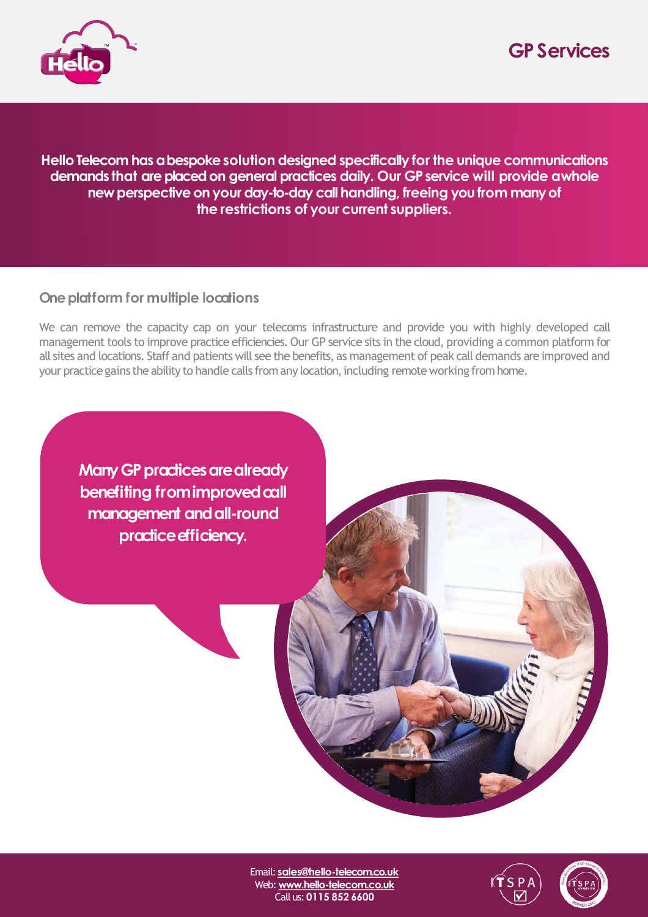



**HelloTelecom hasabespokesolution designed specifically for the unique communications demands that are placed on general practices daily. Our GP service will provide a whole new perspective on your day-to-day call handling, freeing you from many of the restrictions of your current suppliers.**

## **One platform for multiple locations**

We can remove the capacity cap on your telecoms infrastructure and provide you with highly developed call management tools to improve practice efficiencies. Our GP service sits in the cloud, providing a common platform for all sites and locations. Staff and patients will see the benefits, as management of peak call demands are improved and your practice gains the ability to handle calls from any location, including remote working from home.

**Many GP practices are already benefiting** from improved call **management andall-round**  practice efficiency.